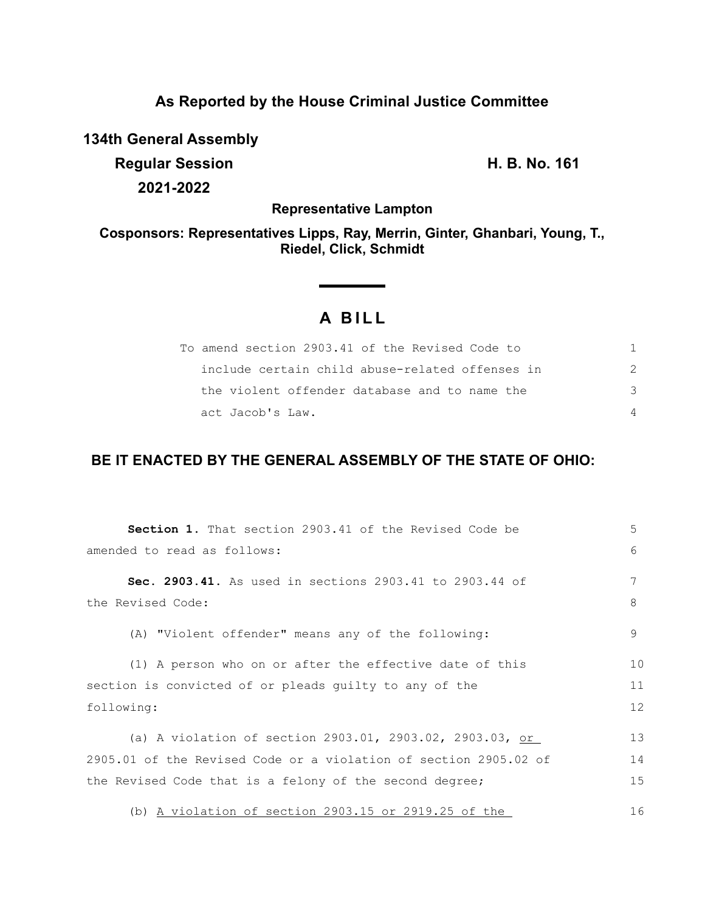## **As Reported by the House Criminal Justice Committee**

**134th General Assembly**

**Regular Session H. B. No. 161 2021-2022**

**Representative Lampton**

**Cosponsors: Representatives Lipps, Ray, Merrin, Ginter, Ghanbari, Young, T., Riedel, Click, Schmidt**

## **A BILL**

<u> 1990 - Jan Barat, politik politik (</u>

| To amend section 2903.41 of the Revised Code to |    |
|-------------------------------------------------|----|
| include certain child abuse-related offenses in |    |
| the violent offender database and to name the   | -२ |
| act Jacob's Law.                                |    |

## **BE IT ENACTED BY THE GENERAL ASSEMBLY OF THE STATE OF OHIO:**

| <b>Section 1.</b> That section 2903.41 of the Revised Code be    | 5  |
|------------------------------------------------------------------|----|
| amended to read as follows:                                      | 6  |
| Sec. 2903.41. As used in sections 2903.41 to 2903.44 of          | 7  |
| the Revised Code:                                                | 8  |
| (A) "Violent offender" means any of the following:               | 9  |
| (1) A person who on or after the effective date of this          | 10 |
| section is convicted of or pleads guilty to any of the           | 11 |
| following:                                                       | 12 |
| (a) A violation of section 2903.01, 2903.02, 2903.03, or         | 13 |
| 2905.01 of the Revised Code or a violation of section 2905.02 of | 14 |
| the Revised Code that is a felony of the second degree;          | 15 |
| (b) A violation of section $2903.15$ or $2919.25$ of the         | 16 |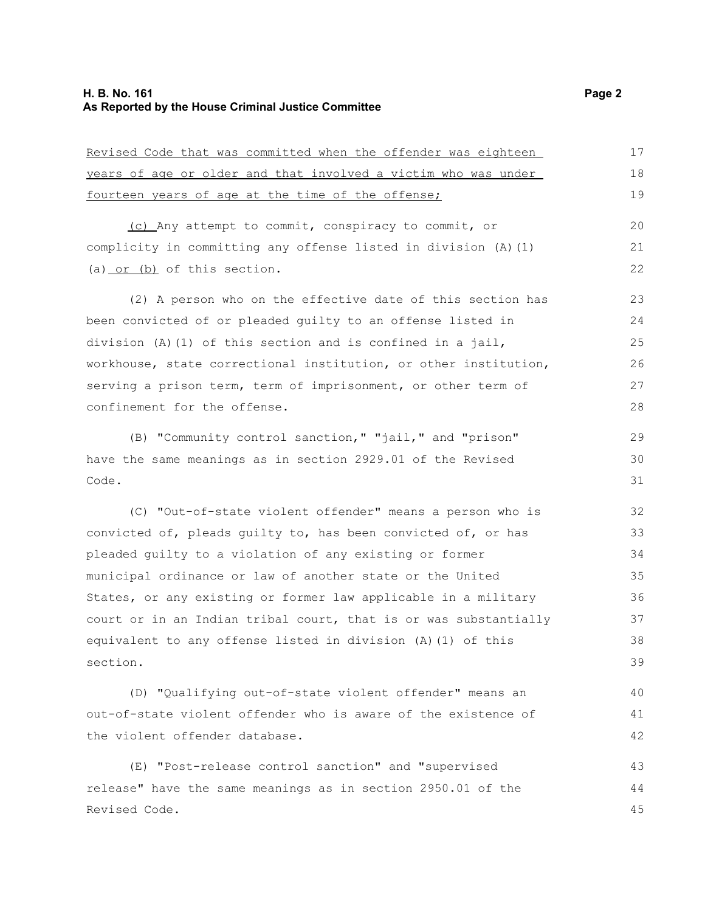Revised Code that was committed when the offender was eighteen

| years of age or older and that involved a victim who was under   | 18 |
|------------------------------------------------------------------|----|
| fourteen years of age at the time of the offense;                | 19 |
| (c) Any attempt to commit, conspiracy to commit, or              | 20 |
| complicity in committing any offense listed in division (A) (1)  | 21 |
| (a) $or$ (b) of this section.                                    | 22 |
| (2) A person who on the effective date of this section has       | 23 |
| been convicted of or pleaded quilty to an offense listed in      | 24 |
| division (A)(1) of this section and is confined in a jail,       | 25 |
| workhouse, state correctional institution, or other institution, | 26 |
| serving a prison term, term of imprisonment, or other term of    | 27 |
| confinement for the offense.                                     | 28 |
| (B) "Community control sanction," "jail," and "prison"           | 29 |
| have the same meanings as in section 2929.01 of the Revised      | 30 |
| Code.                                                            | 31 |
| (C) "Out-of-state violent offender" means a person who is        | 32 |
| convicted of, pleads quilty to, has been convicted of, or has    | 33 |
| pleaded guilty to a violation of any existing or former          | 34 |
| municipal ordinance or law of another state or the United        | 35 |
| States, or any existing or former law applicable in a military   | 36 |
| court or in an Indian tribal court, that is or was substantially | 37 |
| equivalent to any offense listed in division (A) (1) of this     | 38 |
| section.                                                         | 39 |
| (D) "Qualifying out-of-state violent offender" means an          | 40 |
| out-of-state violent offender who is aware of the existence of   | 41 |
| the violent offender database.                                   | 42 |
| (E) "Post-release control sanction" and "supervised              | 43 |
| release" have the same meanings as in section 2950.01 of the     | 44 |
| Revised Code.                                                    | 45 |

17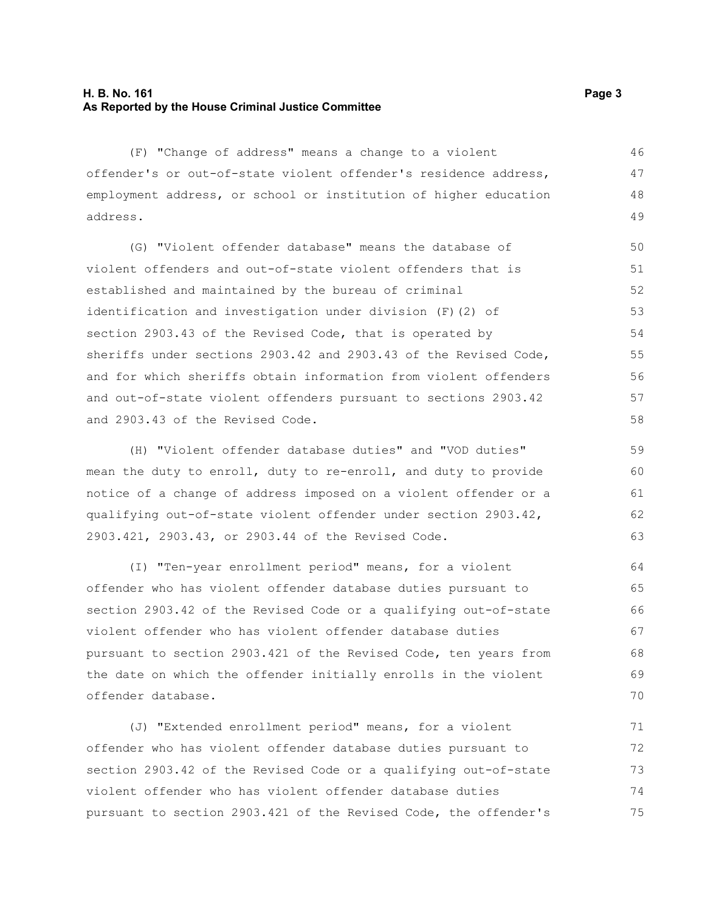## **H. B. No. 161 Page 3 As Reported by the House Criminal Justice Committee**

(F) "Change of address" means a change to a violent offender's or out-of-state violent offender's residence address, employment address, or school or institution of higher education address. 46 47 48 49

(G) "Violent offender database" means the database of violent offenders and out-of-state violent offenders that is established and maintained by the bureau of criminal identification and investigation under division (F)(2) of section 2903.43 of the Revised Code, that is operated by sheriffs under sections 2903.42 and 2903.43 of the Revised Code, and for which sheriffs obtain information from violent offenders and out-of-state violent offenders pursuant to sections 2903.42 and 2903.43 of the Revised Code. 50 51 52 53 54 55 56 57 58

(H) "Violent offender database duties" and "VOD duties" mean the duty to enroll, duty to re-enroll, and duty to provide notice of a change of address imposed on a violent offender or a qualifying out-of-state violent offender under section 2903.42, 2903.421, 2903.43, or 2903.44 of the Revised Code.

(I) "Ten-year enrollment period" means, for a violent offender who has violent offender database duties pursuant to section 2903.42 of the Revised Code or a qualifying out-of-state violent offender who has violent offender database duties pursuant to section 2903.421 of the Revised Code, ten years from the date on which the offender initially enrolls in the violent offender database. 64 65 66 67 68 69 70

(J) "Extended enrollment period" means, for a violent offender who has violent offender database duties pursuant to section 2903.42 of the Revised Code or a qualifying out-of-state violent offender who has violent offender database duties pursuant to section 2903.421 of the Revised Code, the offender's 71 72 73 74 75